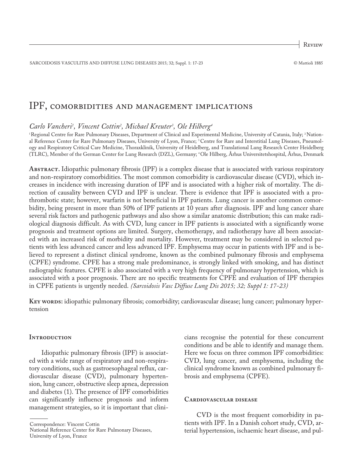Review

SARCOIDOSIS VASCULITIS AND DIFFUSE LUNG DISEASES 2015; 32; Suppl. 1: 17-23 © Mattioli 1885

## IPF, comorbidities and management implications

# *Carlo Vancheri 1 , Vincent Cottin2 , Michael Kreuter3 , Ole Hilberg4*

'Regional Centre for Rare Pulmonary Diseases, Department of Clinical and Experimental Medicine, University of Catania, Italy; <sup>2</sup>National Reference Center for Rare Pulmonary Diseases, University of Lyon, France; 3Centre for Rare and Interstitial Lung Diseases, Pneumology and Respiratory Critical Care Medicine, Thoraxklinik, University of Heidelberg, and Translational Lung Research Center Heidelberg (TLRC), Member of the German Center for Lung Research (DZL), Germany; 4Ole Hilberg, Århus Universitetshospital, Århus, Denmark

**Abstract.** Idiopathic pulmonary fibrosis (IPF) is a complex disease that is associated with various respiratory and non-respiratory comorbidities. The most common comorbidity is cardiovascular disease (CVD), which increases in incidence with increasing duration of IPF and is associated with a higher risk of mortality. The direction of causality between CVD and IPF is unclear. There is evidence that IPF is associated with a prothrombotic state; however, warfarin is not beneficial in IPF patients. Lung cancer is another common comorbidity, being present in more than 50% of IPF patients at 10 years after diagnosis. IPF and lung cancer share several risk factors and pathogenic pathways and also show a similar anatomic distribution; this can make radiological diagnosis difficult. As with CVD, lung cancer in IPF patients is associated with a significantly worse prognosis and treatment options are limited. Surgery, chemotherapy, and radiotherapy have all been associated with an increased risk of morbidity and mortality. However, treatment may be considered in selected patients with less advanced cancer and less advanced IPF. Emphysema may occur in patients with IPF and is believed to represent a distinct clinical syndrome, known as the combined pulmonary fibrosis and emphysema (CPFE) syndrome. CPFE has a strong male predominance, is strongly linked with smoking, and has distinct radiographic features. CPFE is also associated with a very high frequency of pulmonary hypertension, which is associated with a poor prognosis. There are no specific treatments for CPFE and evaluation of IPF therapies in CPFE patients is urgently needed. *(Sarcoidosis Vasc Diffuse Lung Dis 2015; 32; Suppl 1: 17-23)*

**Key words:** idiopathic pulmonary fibrosis; comorbidity; cardiovascular disease; lung cancer; pulmonary hypertension

#### **INTRODUCTION**

Idiopathic pulmonary fibrosis (IPF) is associated with a wide range of respiratory and non-respiratory conditions, such as gastroesophageal reflux, cardiovascular disease (CVD), pulmonary hypertension, lung cancer, obstructive sleep apnea, depression and diabetes (1). The presence of IPF comorbidities can significantly influence prognosis and inform management strategies, so it is important that clini-

Correspondence: Vincent Cottin

National Reference Center for Rare Pulmonary Diseases, University of Lyon, France

cians recognise the potential for these concurrent conditions and be able to identify and manage them. Here we focus on three common IPF comorbidities: CVD, lung cancer, and emphysema, including the clinical syndrome known as combined pulmonary fibrosis and emphysema (CPFE).

### **Cardiovascular disease**

CVD is the most frequent comorbidity in patients with IPF. In a Danish cohort study, CVD, arterial hypertension, ischaemic heart disease, and pul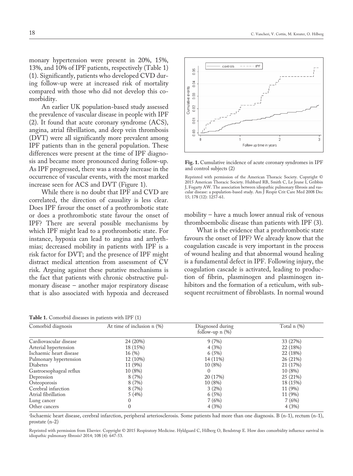monary hypertension were present in 20%, 15%, 13%, and 10% of IPF patients, respectively (Table 1) (1). Significantly, patients who developed CVD during follow-up were at increased risk of mortality compared with those who did not develop this comorbidity.

An earlier UK population-based study assessed the prevalence of vascular disease in people with IPF (2). It found that acute coronary syndrome (ACS), angina, atrial fibrillation, and deep vein thrombosis (DVT) were all significantly more prevalent among IPF patients than in the general population. These differences were present at the time of IPF diagnosis and became more pronounced during follow-up. As IPF progressed, there was a steady increase in the occurrence of vascular events, with the most marked increase seen for ACS and DVT (Figure 1).

While there is no doubt that IPF and CVD are correlated, the direction of causality is less clear. Does IPF favour the onset of a prothrombotic state or does a prothrombotic state favour the onset of IPF? There are several possible mechanisms by which IPF might lead to a prothrombotic state. For instance, hypoxia can lead to angina and arrhythmias; decreased mobility in patients with IPF is a risk factor for DVT; and the presence of IPF might distract medical attention from assessment of CV risk. Arguing against these putative mechanisms is the fact that patients with chronic obstructive pulmonary disease – another major respiratory disease that is also associated with hypoxia and decreased

**Table 1.** Comorbid diseases in patients with IPF (1)



**Fig. 1.** Cumulative incidence of acute coronary syndromes in IPF and control subjects (2)

mobility – have a much lower annual risk of venous thromboembolic disease than patients with IPF (3).

What is the evidence that a prothrombotic state favours the onset of IPF? We already know that the coagulation cascade is very important in the process of wound healing and that abnormal wound healing is a fundamental defect in IPF. Following injury, the coagulation cascade is activated, leading to production of fibrin, plasminogen and plasminogen inhibitors and the formation of a reticulum, with subsequent recruitment of fibroblasts. In normal wound

| Comorbid diagnosis      | At time of inclusion n (%) | Diagnosed during<br>follow-up $n$ $(\%)$ | Total n (%) |  |
|-------------------------|----------------------------|------------------------------------------|-------------|--|
| Cardiovascular disease  | 24 (20%)                   | 9(7%)                                    | 33 (27%)    |  |
| Arterial hypertension   | 18 (15%)                   | 4(3%)                                    | 22 (18%)    |  |
| Ischaemic heart disease | 16(%)                      | 6(5%)                                    | 22 (18%)    |  |
| Pulmonary hypertension  | 12 (10%)                   | 14 (11%)                                 | 26 (21%)    |  |
| Diabetes                | 11 (9%)                    | 10(8%)                                   | 21 (17%)    |  |
| Gastroesophageal reflux | 10 (8%)                    | $\Omega$                                 | 10 (8%)     |  |
| Depression              | 8(7%)                      | 20 (17%)                                 | 25 (21%)    |  |
| Osteoporosis            | 8(7%)                      | 10(8%)                                   | 18 (15%)    |  |
| Cerebral infarction     | 8(7%)                      | $3(2\%)$                                 | 11 (9%)     |  |
| Atrial fibrillation     | 5(4%)                      | 6(5%)                                    | 11 (9%)     |  |
| Lung cancer             |                            | 7(6%)                                    | 7(6%)       |  |
| Other cancers           |                            | 4(3%)                                    | 4(3%)       |  |

a Ischaemic heart disease, cerebral infarction, peripheral arteriosclerosis. Some patients had more than one diagnosis. B (n-1), rectum (n-1), prostate (n-2)

Reprinted with permission from Elsevier. Copyright © 2015 Respiratory Medicine. Hyldgaard C, Hilberg O, Bendstrup E. How does comorbidity influence survival in idiopathic pulmonary fibrosis? 2014; 108 (4): 647-53.

Reprinted with permission of the American Thoracic Society. Copyright © 2015 American Thoracic Society. Hubbard RB, Smith C, Le Jeune I, Gribbin J, Fogarty AW. The association between idiopathic pulmonary fibrosis and vascular disease: a population-based study. Am J Respir Crit Care Med 2008 Dec 15; 178 (12): 1257-61.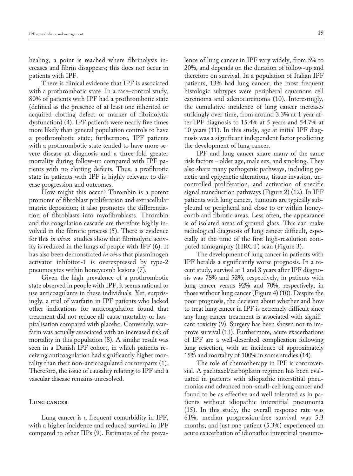healing, a point is reached where fibrinolysis increases and fibrin disappears; this does not occur in patients with IPF.

There is clinical evidence that IPF is associated with a prothrombotic state. In a case–control study, 80% of patients with IPF had a prothrombotic state (defined as the presence of at least one inherited or acquired clotting defect or marker of fibrinolytic dysfunction) (4). IPF patients were nearly five times more likely than general population controls to have a prothrombotic state; furthermore, IPF patients with a prothrombotic state tended to have more severe disease at diagnosis and a three-fold greater mortality during follow-up compared with IPF patients with no clotting defects. Thus, a profibrotic state in patients with IPF is highly relevant to disease progression and outcomes.

How might this occur? Thrombin is a potent promoter of fibroblast proliferation and extracellular matrix deposition; it also promotes the differentiation of fibroblasts into myofibroblasts. Thrombin and the coagulation cascade are therefore highly involved in the fibrotic process (5). There is evidence for this *in vivo*: studies show that fibrinolytic activity is reduced in the lungs of people with IPF (6). It has also been demonstrated *in vivo* that plasminogen activator inhibitor-1 is overexpressed by type-2 pneumocytes within honeycomb lesions (7).

Given the high prevalence of a prothrombotic state observed in people with IPF, it seems rational to use anticoagulants in these individuals. Yet, surprisingly, a trial of warfarin in IPF patients who lacked other indications for anticoagulation found that treatment did not reduce all-cause mortality or hospitalisation compared with placebo. Conversely, warfarin was actually associated with an increased risk of mortality in this population (8). A similar result was seen in a Danish IPF cohort, in which patients receiving anticoagulation had significantly higher mortality than their non-anticoagulated counterparts (1). Therefore, the issue of causality relating to IPF and a vascular disease remains unresolved.

#### **Lung cancer**

Lung cancer is a frequent comorbidity in IPF, with a higher incidence and reduced survival in IPF compared to other IIPs (9). Estimates of the prevalence of lung cancer in IPF vary widely, from 5% to 20%, and depends on the duration of follow-up and therefore on survival. In a population of Italian IPF patients, 13% had lung cancer; the most frequent histologic subtypes were peripheral squamous cell carcinoma and adenocarcinoma (10). Interestingly, the cumulative incidence of lung cancer increases strikingly over time, from around 3.3% at 1 year after IPF diagnosis to 15.4% at 5 years and 54.7% at 10 years (11). In this study, age at initial IPF diagnosis was a significant independent factor predicting the development of lung cancer.

IPF and lung cancer share many of the same risk factors – older age, male sex, and smoking. They also share many pathogenic pathways, including genetic and epigenetic alterations, tissue invasion, uncontrolled proliferation, and activation of specific signal transduction pathways (Figure 2) (12). In IPF patients with lung cancer, tumours are typically subpleural or peripheral and close to or within honeycomb and fibrotic areas. Less often, the appearance is of isolated areas of ground glass. This can make radiological diagnosis of lung cancer difficult, especially at the time of the first high-resolution computed tomography (HRCT) scan (Figure 3).

The development of lung cancer in patients with IPF heralds a significantly worse prognosis. In a recent study, survival at 1 and 3 years after IPF diagnosis was 78% and 52%, respectively, in patients with lung cancer versus 92% and 70%, respectively, in those without lung cancer (Figure 4) (10). Despite the poor prognosis, the decision about whether and how to treat lung cancer in IPF is extremely difficult since any lung cancer treatment is associated with significant toxicity (9). Surgery has been shown not to improve survival (13). Furthermore, acute exacerbations of IPF are a well-described complication following lung resection, with an incidence of approximately 15% and mortality of 100% in some studies (14).

The role of chemotherapy in IPF is controversial. A paclitaxel/carboplatin regimen has been evaluated in patients with idiopathic interstitial pneumonias and advanced non-small-cell lung cancer and found to be as effective and well tolerated as in patients without idiopathic interstitial pneumonia (15). In this study, the overall response rate was 61%, median progression-free survival was 5.3 months, and just one patient (5.3%) experienced an acute exacerbation of idiopathic interstitial pneumo-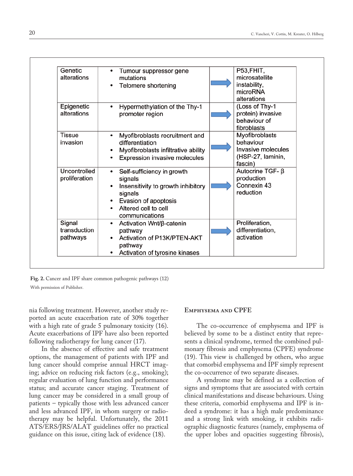| Genetic<br>alterations             | Tumour suppressor gene<br>٠<br>mutations<br>Telomere shortening<br>٠                                                                                          | P53,FHIT,<br>microsatellite<br>instability,                                       |
|------------------------------------|---------------------------------------------------------------------------------------------------------------------------------------------------------------|-----------------------------------------------------------------------------------|
|                                    |                                                                                                                                                               | microRNA<br>alterations                                                           |
| Epigenetic<br>alterations          | Hypermethylation of the Thy-1<br>٠<br>promoter region                                                                                                         | (Loss of Thy-1<br>protein) invasive<br>behaviour of<br>fibroblasts                |
| <b>Tissue</b><br>invasion          | Myofibroblasts recruitment and<br>$\bullet$<br>differentiation<br>Myofibroblasts infiltrative ability<br>Expression invasive molecules                        | Myofibroblasts<br>behaviour<br>Invasive molecules<br>(HSP-27, laminin,<br>fascin) |
| Uncontrolled<br>proliferation      | Self-sufficiency in growth<br>٠<br>signals<br>Insensitivity to growth inhibitory<br>signals<br>Evasion of apoptosis<br>Altered cell to cell<br>communications | Autocrine TGF- β<br>production<br>Connexin 43<br>reduction                        |
| Signal<br>transduction<br>pathways | Activation Wnt/β-catenin<br>٠<br>pathway<br>Activation of P13K/PTEN-AKT<br>pathway<br>Activation of tyrosine kinases                                          | Proliferation,<br>differentiation,<br>activation                                  |

**Fig. 2.** Cancer and IPF share common pathogenic pathways (12) With permission of Publisher.

nia following treatment. However, another study reported an acute exacerbation rate of 30% together with a high rate of grade 5 pulmonary toxicity (16). Acute exacerbations of IPF have also been reported following radiotherapy for lung cancer (17).

In the absence of effective and safe treatment options, the management of patients with IPF and lung cancer should comprise annual HRCT imaging; advice on reducing risk factors (e.g., smoking); regular evaluation of lung function and performance status; and accurate cancer staging. Treatment of lung cancer may be considered in a small group of patients – typically those with less advanced cancer and less advanced IPF, in whom surgery or radiotherapy may be helpful. Unfortunately, the 2011 ATS/ERS/JRS/ALAT guidelines offer no practical guidance on this issue, citing lack of evidence (18).

#### **Emphysema and CPFE**

The co-occurrence of emphysema and IPF is believed by some to be a distinct entity that represents a clinical syndrome, termed the combined pulmonary fibrosis and emphysema (CPFE) syndrome (19). This view is challenged by others, who argue that comorbid emphysema and IPF simply represent the co-occurrence of two separate diseases.

A syndrome may be defined as a collection of signs and symptoms that are associated with certain clinical manifestations and disease behaviours. Using these criteria, comorbid emphysema and IPF is indeed a syndrome: it has a high male predominance and a strong link with smoking, it exhibits radiographic diagnostic features (namely, emphysema of the upper lobes and opacities suggesting fibrosis),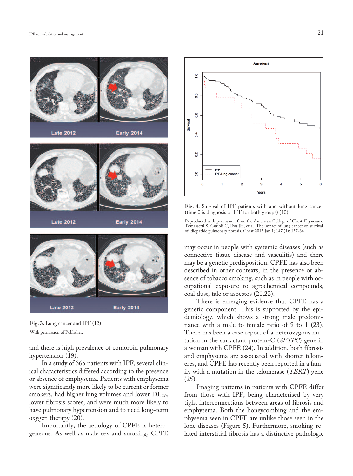

**Fig. 3.** Lung cancer and IPF (12)

With permission of Publisher.

and there is high prevalence of comorbid pulmonary hypertension (19).

In a study of 365 patients with IPF, several clinical characteristics differed according to the presence or absence of emphysema. Patients with emphysema were significantly more likely to be current or former smokers, had higher lung volumes and lower  $DL<sub>co</sub>$ , lower fibrosis scores, and were much more likely to have pulmonary hypertension and to need long-term oxygen therapy (20).

Importantly, the aetiology of CPFE is heterogeneous. As well as male sex and smoking, CPFE



**Fig. 4.** Survival of IPF patients with and without lung cancer (time 0 is diagnosis of IPF for both groups) (10)

Reproduced with permission from the American College of Chest Physicians. Tomassetti S, Gurioli C, Ryu JH, et al. The impact of lung cancer on survival of idiopathic pulmonary fibrosis. Chest 2015 Jan 1; 147 (1): 157-64.

may occur in people with systemic diseases (such as connective tissue disease and vasculitis) and there may be a genetic predisposition. CPFE has also been described in other contexts, in the presence or absence of tobacco smoking, such as in people with occupational exposure to agrochemical compounds, coal dust, talc or asbestos (21,22).

There is emerging evidence that CPFE has a genetic component. This is supported by the epidemiology, which shows a strong male predominance with a male to female ratio of 9 to 1 (23). There has been a case report of a heterozygous mutation in the surfactant protein-C (*SFTPC*) gene in a woman with CPFE (24). In addition, both fibrosis and emphysema are associated with shorter telomeres, and CPFE has recently been reported in a family with a mutation in the telomerase (*TERT*) gene (25).

Imaging patterns in patients with CPFE differ from those with IPF, being characterised by very tight interconnections between areas of fibrosis and emphysema. Both the honeycombing and the emphysema seen in CPFE are unlike those seen in the lone diseases (Figure 5). Furthermore, smoking-related interstitial fibrosis has a distinctive pathologic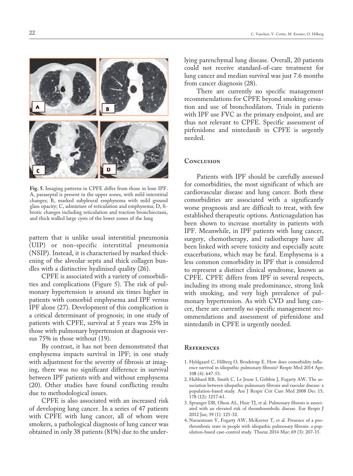

**Fig. 5.** Imaging patterns in CPFE differ from those in lone IPF. A, paraseptal is present in the upper zones, with mild interstitial changes; B, marked subpleural emphysema with mild ground glass opacity; C, admixture of reticulation and emphysema; D, fibrotic changes including reticulation and traction bronchiectasis, and thick walled large cysts of the lower zones of the lung

pattern that is unlike usual interstitial pneumonia (UIP) or non-specific interstitial pneumonia (NSIP). Instead, it is characterised by marked thickening of the alveolar septa and thick collagen bundles with a distinctive hyalinised quality (26).

CPFE is associated with a variety of comorbidities and complications (Figure 5). The risk of pulmonary hypertension is around six times higher in patients with comorbid emphysema and IPF versus IPF alone (27). Development of this complication is a critical determinant of prognosis; in one study of patients with CPFE, survival at 5 years was 25% in those with pulmonary hypertension at diagnosis versus 75% in those without (19).

By contrast, it has not been demonstrated that emphysema impacts survival in IPF; in one study with adjustment for the severity of fibrosis at imaging, there was no significant difference in survival between IPF patients with and without emphysema (20). Other studies have found conflicting results due to methodological issues.

CPFE is also associated with an increased risk of developing lung cancer. In a series of 47 patients with CPFE with lung cancer, all of whom were smokers, a pathological diagnosis of lung cancer was obtained in only 38 patients (81%) due to the underlying parenchymal lung disease. Overall, 20 patients could not receive standard-of-care treatment for lung cancer and median survival was just 7.6 months from cancer diagnosis (28).

There are currently no specific management recommendations for CPFE beyond smoking cessation and use of bronchodilators. Trials in patients with IPF use FVC as the primary endpoint, and are thus not relevant to CPFE. Specific assessment of pirfenidone and nintedanib in CPFE is urgently needed.

#### **Conclusion**

Patients with IPF should be carefully assessed for comorbidities, the most significant of which are cardiovascular disease and lung cancer. Both these comorbidities are associated with a significantly worse prognosis and are difficult to treat, with few established therapeutic options. Anticoagulation has been shown to increase mortality in patients with IPF. Meanwhile, in IPF patients with lung cancer, surgery, chemotherapy, and radiotherapy have all been linked with severe toxicity and especially acute exacerbations, which may be fatal. Emphysema is a less common comorbidity in IPF that is considered to represent a distinct clinical syndrome, known as CPFE. CPFE differs from IPF in several respects, including its strong male predominance, strong link with smoking, and very high prevalence of pulmonary hypertension. As with CVD and lung cancer, there are currently no specific management recommendations and assessment of pirfenidone and nintedanib in CPFE is urgently needed.

#### **References**

- 1. Hyldgaard C, Hilberg O, Bendstrup E. How does comorbidity influence survival in idiopathic pulmonary fibrosis? Respir Med 2014 Apr; 108 (4): 647-53.
- 2. Hubbard RB, Smith C, Le Jeune I, Gribbin J, Fogarty AW. The association between idiopathic pulmonary fibrosis and vascular disease: a population-based study. Am J Respir Crit Care Med 2008 Dec 15; 178 (12): 1257-61.
- 3. Sprunger DB, Olson AL, Huie TJ, et al. Pulmonary fibrosis is associated with an elevated risk of thromboembolic disease. Eur Respir J 2012 Jan; 39 (1): 125-32.
- 4. Navaratnam V, Fogarty AW, McKeever T, et al. Presence of a prothrombotic state in people with idiopathic pulmonary fibrosis: a population-based case-control study. Thorax 2014 Mar; 69 (3): 207-15.